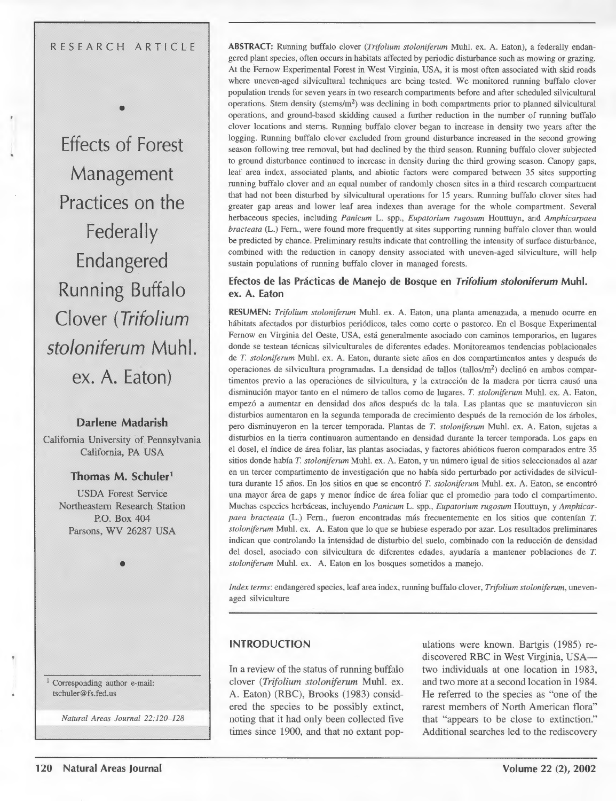#### RESEARCH ARTICLE

•

**Effects of Forest Management Practices on the Federally Endangered Running Buffalo Clover (Trifolium stoloniferum Muhl.**  ex. A. Eaton)

### **Darlene Madarish**

California University of Pennsylvania California, PA USA

## **Thomas M. Schuler** <sup>1</sup>

USDA Forest Service Northeastern Research Station P.O. Box 404 Parsons, WV 26287 USA

•

1 Corresponding author e-mail: tschuler@fs.fed.us

*Natural Areas Journal 22:120-128* 

**ABSTRACT:** Running buffalo clover *(Trifolium stoloniferum* Muhl. ex. A. Eaton), a federally endangered plant species, often occurs in habitats affected by periodic disturbance such as mowing or grazing. At the Femow Experimental Forest in West Virginia, USA, it is most often associated with skid roads where uneven-aged silvicultural techniques are being tested. We monitored running buffalo clover population trends for seven years in two research compartments before and after scheduled silvicultural operations. Stem density (stems/ $m<sup>2</sup>$ ) was declining in both compartments prior to planned silvicultural operations, and ground-based skidding caused a further reduction in the number of running buffalo clover locations and stems. Running buffalo clover began to increase in density two years after the logging. Running buffalo clover excluded from ground disturbance increased in the second growing season following tree removal, but had declined by the third season. Running buffalo clover subjected to ground disturbance continued to increase in density during the third growing season. Canopy gaps, leaf area index, associated plants, and abiotic factors were compared between 35 sites supporting running buffalo clover and an equal number of randomly chosen sites in a third research compartment that had not been disturbed by silvicultural operations for 15 years. Running buffalo clover sites had greater gap areas and lower leaf area indexes than average for the whole compartment. Several herbaceous species, including *Panicum* L. spp., *Eupatorium rugosum* Houttuyn, and *Amphicarpaea bracteata* (L.) Fern., were found more frequently at sites supporting running buffalo clover than would be predicted by chance. Preliminary results indicate that controlling the intensity of surface disturbance, combined with the reduction in canopy density associated with uneven-aged silviculture, will help sustain populations of running buffalo clover in managed forests.

#### **Efectos de las Practicas de Manejo de Bosque en Trifolium stoloniferum Muhl. ex. A. Eaton**

**RESUMEN:** *Trifolium stoloniferum* Muhl. ex. A. Eaton, una planta amenazada, a menudo ocurre en habitats afectados por disturbios peri6dicos, tales como corte o pastoreo. En el Bosque Experimental Fernow en Virginia del Oeste, USA, esta generalmente asociado con caminos temporarios, en lugares donde se testean técnicas silviculturales de diferentes edades. Monitoreamos tendencias poblacionales de *T. stoloniferum* Muhl. ex. A. Eaton, durante siete afios en dos compartimentos antes y despues de operaciones de silvicultura programadas. La densidad de tallos (tallos/m<sup>2</sup>) declinó en ambos compartimentos previo a las operaciones de silvicultura, y la extracción de la madera por tierra causó una disminuci6n mayor tanto en el numero de tallos como de lugares. *T. stoloniferum* Muhl. ex. A. Eaton, empez6 a aumentar en densidad dos afios despues de Ia tala. Las plantas que se mantuvieron sin disturbios aumentaron en la segunda temporada de crecimiento después de la remoción de los árboles, pero disminuyeron en la tercer temporada. Plantas de *T. stoloniferum* Muhl. ex. A. Eaton, sujetas a disturbios en Ia tierra continuaron aumentando en densidad durante Ia tercer temporada. Los gaps en el dosel, el fndice de area foliar, las plantas asociadas, y factores abi6ticos fueron comparados entre 35 sitios donde había *T. stoloniferum* Muhl. ex. A. Eaton, y un número igual de sitios seleccionados al azar en un tercer compartimento de investigación que no había sido perturbado por actividades de silvicultura durante 15 años. En los sitios en que se encontró *T. stoloniferum* Muhl. ex. A. Eaton, se encontró una mayor area de gaps y menor fndice de area foliar que el promedio para todo el compartimento. Muchas especies herbaceas, incluyendo *Panicum* L. spp., *Eupatorium rugosum* Houttuyn, y *Amphicarpaea bracteata* (L.) Fern., fueron encontradas mas frecuentemente en los sitios que contenfan *T. stoloniferum* Muhl. ex. A. Eaton que lo que se hubiese esperado por azar. Los resultados preliminares indican que controlando la intensidad de disturbio del suelo, combinado con la reducción de densidad del dose!, asociado con silvicultura de diferentes edades, ayudarfa a mantener poblaciones de *T. stoloniferum Muhl. ex. A. Eaton en los bosques sometidos a manejo.* 

*Index terms:* endangered species, leaf area index, running buffalo clover, *Trifolium stoloniferum,* unevenaged silviculture

#### **INTRODUCTION**

In a review of the status of running buffalo clover *(Trifolium stoloniferum* Muhl. ex. A. Eaton) (RBC), Brooks (1983) considered the species to be possibly extinct, noting that it had only been collected five times since 1900, and that no extant populations were known. Bartgis (1985) rediscovered RBC in West Virginia, USAtwo individuals at one location in 1983, and two more at a second location in 1984. He referred to the species as "one of the rarest members of North American flora" that "appears to be close to extinction." Additional searches led to the rediscovery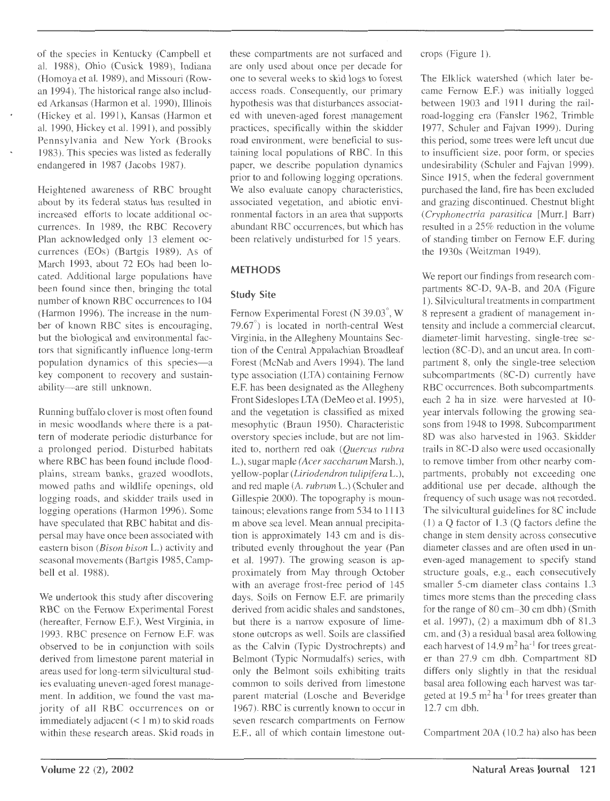of the species in Kentucky (Campbell et al. 1988), Ohio (Cusick 1989), Indiana (Homoya et al. 1989), and Missouri (Rowan 1994). The historical range also included Arkansas (Harmon et al. 1990), Illinois (Hickey et al. 1991), Kansas (Harmon et al. 1990, Hickey et al. 1991), and possibly Pennsylvania and New York (Brooks 1983). This species was listed as federally endangered in 1987 (Jacobs 1987).

Heightened awareness of RBC brought about by its federal status has resulted in increased efforts to locate additional occurrences. In 1989, the RBC Recovery Plan acknowledged only 13 element occurrences (EOs) (Bartgis 1989). As of March 1993, about 72 EOs had been located. Additional large populations have been found since then, bringing the total number of known RBC occurrences to 104 (Harmon 1996). The increase in the number of known RBC sites is encouraging, but the biological and environmental factors that significantly influence long-term population dynamics of this species-a key component to recovery and sustainability-are still unknown.

Running buffalo clover is most often found in mesic woodlands where there is a pattern of moderate periodic disturbance for a prolonged period. Disturbed habitats where RBC has been found include floodplains, stream banks, grazed woodlots, mowed paths and wildlife openings, old logging roads, and skidder trails used in logging operations (Harmon 1996). Some have speculated that RBC habitat and dispersal may have once been associated with eastern bison *(Bison bison* L.) activity and seasonal movements (Bartgis 1985, Campbell et al. 1988).

We undertook this study after discovering RBC on the Fernow Experimental Forest (hereafter, Fernow E.F.), West Virginia, in 1993. RBC presence on Fernow E.F. was observed to be in conjunction with soils derived from limestone parent material in areas used for long-term silvicultural studies evaluating uneven-aged forest management. In addition, we found the vast majority of all RBC occurrences on or immediately adjacent  $(< 1 \text{ m})$  to skid roads within these research areas. Skid roads in these compartments are not surfaced and are only used about once per decade for one to several weeks to skid logs to forest access roads. Consequently, our primary hypothesis was that disturbances associated with uneven-aged forest management practices, specifically within the skidder road environment, were beneficial to sustaining local populations of RBC. In this paper, we describe population dynamics prior to and following logging operations. We also evaluate canopy characteristics, associated vegetation, and abiotic environmental factors in an area that supports abundant RBC occurrences, but which has been relatively undisturbed for 15 years.

# **METHODS**

# **Study Site**

Fernow Experimental Forest (N 39.03°, W 79.67°) is located in north-central West Virginia, in the Allegheny Mountains Section of the Central Appalachian Broadleaf Forest (McNab and Avers 1994). The land type association (LTA) containing Fernow E.F. has been designated as the Allegheny Front Sideslopes LTA (DeMeo et al. 1995), and the vegetation is classified as mixed mesophytic (Braun 1950). Characteristic overstory species include, but are not limited to, northern red oak *(Quercus rubra*  L.), sugar maple *(Acer saccharum* Marsh.), yellow-poplar *(Liriodendron tulipifera* L.), and red maple *(A. rubrum* L.) (Schuler and Gillespie 2000). The topography is mountainous; elevations range from 534 to 1113 m above sea level. Mean annual precipitation is approximately 143 em and is distributed evenly throughout the year (Pan et al. 1997). The growing season is approximately from May through October with an average frost-free period of 145 days. Soils on Fernow E.F. are primarily derived from acidic shales and sandstones, but there is a narrow exposure of limestone outcrops as well. Soils are classified as the Calvin (Typic Dystrochrepts) and Belmont (Typic Normudalfs) series, with only the Belmont soils exhibiting traits common to soils derived from limestone parent material (Losche and Beveridge 1967). RBC is currently known to occur in seven research compartments on Fernow E.F., all of which contain limestone outcrops (Figure 1).

The Elklick watershed (which later became Fernow E.F.) was initially logged between 1903 and 1911 during the railroad-logging era (Fansler 1962, Trimble 1977, Schuler and Fajvan 1999). During this period, some trees were left uncut due to insufficient size, poor form, or species undesirability (Schuler and Fajvan 1999). Since 1915, when the federal government purchased the land, fire has been excluded and grazing discontinued. Chestnut blight *(Cryphonectria parasitica* [Murr.] Barr) resulted in a 25% reduction in the volume of standing timber on Fernow E.F. during the 1930s (Weitzman 1949).

We report our findings from research compartments 8C-D, 9A-B, and 20A (Figure 1). Silvicultural treatments in compartment 8 represent a gradient of management intensity and include a commercial clearcut, diameter-limit harvesting, single-tree selection (8C-D), and an uncut area. In compartment 8, only the single-tree selection subcompartments (8C-D) currently have RBC occurrences. Both subcompartments, each 2 ha in size. were harvested at 10 year intervals following the growing seasons from 1948 to 1998. Subcompartment 8D was also harvested in 1963. Skidder trails in 8C-D also were used occasionally to remove timber from other nearby compartments, probably not exceeding one additional use per decade, although the frequency of such usage was not recorded. The silvicultural guidelines for 8C include (1) a Q factor of 1.3 (Q factors define the change in stem density across consecutive diameter classes and are often used in uneven-aged management to specify stand structure goals, e.g., each consecutively smaller 5-cm diameter class contains 1.3 times more stems than the preceding class for the range of 80 cm-30 em dbh) (Smith et al. 1997), (2) a maximum dbh of 81.3 em, and (3) a residual basal area following each harvest of  $14.9 \text{ m}^2$  ha<sup>-1</sup> for trees greater than 27.9 em dbh. Compartment 8D differs only slightly in that the residual basal area following each harvest was targeted at  $19.5 \text{ m}^2 \text{ ha}^{-1}$  for trees greater than 12.7 em dbh.

Compartment 20A (10.2 ha) also has been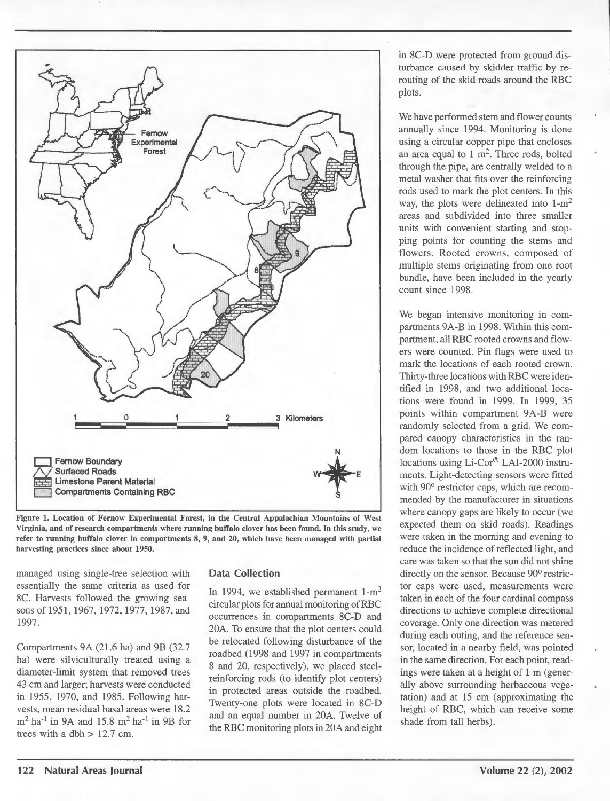

Figure 1. Location of Fernow Experimental Forest, in the Central Appalachian Mountains of West Virginia, and of research compartments where running buffalo clover has been found. In this study, we refer to running buffalo clover in compartments 8, 9, and 20, which have been managed with partial harvesting practices since about 1950.

managed using single-tree selection with essentially the same criteria as used for 8C. Harvests followed the growing seasons of 1951, 1967, 1972, 1977, 1987, and 1997.

Compartments 9A (21.6 ha) and 9B (32.7 ha) were silviculturally treated using a diameter-limit system that removed trees 43 em and larger; harvests were conducted in 1955, 1970, and 1985. Following harvests, mean residual basal areas were 18.2  $m<sup>2</sup>$  ha<sup>-1</sup> in 9A and 15.8 m<sup>2</sup> ha<sup>-1</sup> in 9B for trees with a dbh  $> 12.7$  cm.

#### Data Collection

In 1994, we established permanent  $1-m^2$ circular plots for annual monitoring ofRBC occurrences in compartments 8C-D and 20A. To ensure that the plot centers could be relocated following disturbance of the roadbed (1998 and 1997 in compartments 8 and 20, respectively), we placed steelreinforcing rods (to identify plot centers) in protected areas outside the roadbed. Twenty-one plots were located in 8C-D and an equal number in 20A. Twelve of the RBC monitoring plots in 20A and eight in 8C-D were protected from ground disturbance caused by skidder traffic by rerouting of the skid roads around the RBC plots.

We have performed stem and flower counts annually since 1994. Monitoring is done using a circular copper pipe that encloses an area equal to  $1 \text{ m}^2$ . Three rods, bolted through the pipe, are centrally welded to a metal washer that fits over the reinforcing rods used to mark the plot centers. In this way, the plots were delineated into  $1-m^2$ areas and subdivided into three smaller units with convenient starting and stopping points for counting the stems and flowers. Rooted crowns, composed of multiple stems originating from one root bundle, have been included in the yearly count since 1998.

We began intensive monitoring in compartments 9A-B in 1998. Within this compartment, all RBC rooted crowns and flowers were counted. Pin flags were used to mark the locations of each rooted crown. Thirty-three locations with RBC were identified in 1998, and two additional locations were found in 1999. In 1999, 35 points within compartment 9A-B were randomly selected from a grid. We compared canopy characteristics in the random locations to those in the RBC plot locations using Li-Cor® LAI-2000 instruments. Light-detecting sensors were fitted with 90° restrictor caps, which are recommended by the manufacturer in situations where canopy gaps are likely to occur (we expected them on skid roads). Readings were taken in the morning and evening to reduce the incidence of reflected light, and care was taken so that the sun did not shine directly on the sensor. Because 90° restrictor caps were used, measurements were taken in each of the four cardinal compass directions to achieve complete directional coverage. Only one direction was metered during each outing, and the reference sensor, located in a nearby field, was pointed in the same direction. For each point, readings were taken at a height of 1 m (generally above surrounding herbaceous vegetation) and at 15 em (approximating the height of RBC, which can receive some shade from tall herbs).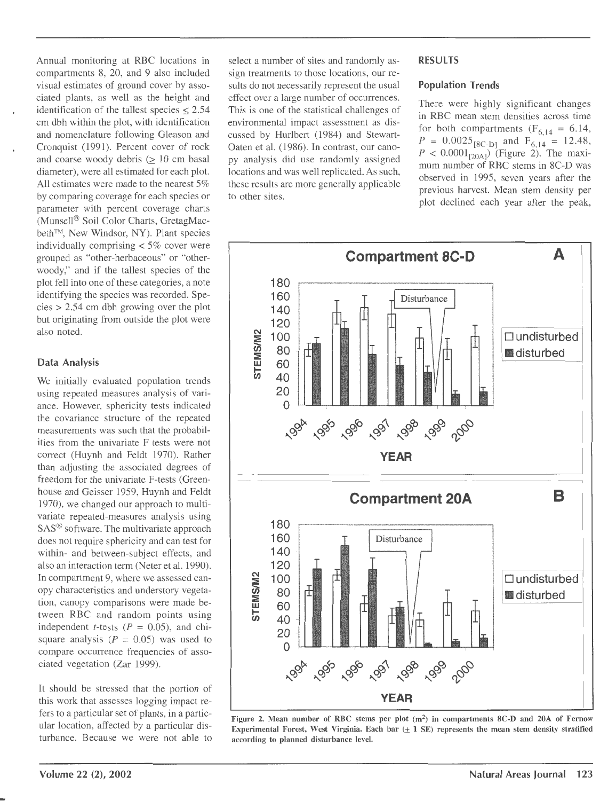Annual monitoring at RBC locations in compartments 8, 20, and 9 also included visual estimates of ground cover by associated plants, as well as the height and identification of the tallest species  $< 2.54$ em dbh within the plot, with identification and nomenclature following Gleason and Cronquist (1991). Percent cover of rock and coarse woody debris  $( \geq 10 \text{ cm} )$  basal diameter), were all estimated for each plot. All estimates were made to the nearest 5% by comparing coverage for each species or parameter with percent coverage charts (Munsell® Soil Color Charts, GretagMacbeth™, New Windsor, NY). Plant species individually comprising < 5% cover were grouped as "other-herbaceous" or "otherwoody," and if the tallest species of the plot fell into one of these categories, a note identifying the species was recorded. Species > 2.54 em dbh growing over the plot but originating from outside the plot were also noted.

### Data Analysis

We initially evaluated population trends using repeated measures analysis of variance. However, sphericity tests indicated the covariance structure of the repeated measurements was such that the probabilities from the univariate F tests were not correct (Huynh and Feldt 1970). Rather than adjusting the associated degrees of freedom for the univariate F-tests (Greenhouse and Geisser 1959, Huynh and Feldt 1970), we changed our approach to multivariate repeated-measures analysis using SAS® software. The multivariate approach does not require sphericity and can test for within- and between-subject effects, and also an interaction term (Neter et al. 1990). In compartment 9, where we assessed canopy characteristics and understory vegetation, canopy comparisons were made between RBC and random points using independent *t*-tests ( $P = 0.05$ ), and chisquare analysis ( $P = 0.05$ ) was used to compare occurrence frequencies of associated vegetation (Zar 1999).

It should be stressed that the portion of this work that assesses logging impact refers to a particular set of plants, in a particular location, affected by a particular disturbance. Because we were not able to select a number of sites and randomly assign treatments to those locations, our results do not necessarily represent the usual effect over a large number of occurrences. This is one of the statistical challenges of environmental impact assessment as discussed by Hurlbert (1984) and Stewart-Oaten et al. (1986). In contrast, our canopy analysis did use randomly assigned locations and was well replicated. As such, these results are more generally applicable to other sites.

#### RESULTS

#### Population Trends

There were highly significant changes in RBC mean stem densities across time for both compartments  $(F_{6, 14} = 6.14,$  $P = 0.0025_{[8C-D]}$  and  $F_{6,14} = 12.48$ ,  $P < 0.0001_{[20\text{A}]}$  (Figure 2). The maximum number of RBC stems in 8C-D was observed in 1995, seven years after the previous harvest. Mean stem density per plot declined each year after the peak,



Figure 2. Mean number of RBC stems per plot  $(m^2)$  in compartments 8C-D and 20A of Fernow Experimental Forest, West Virginia. Each bar  $(\pm 1 \text{ SE})$  represents the mean stem density stratified according to planned disturbance level.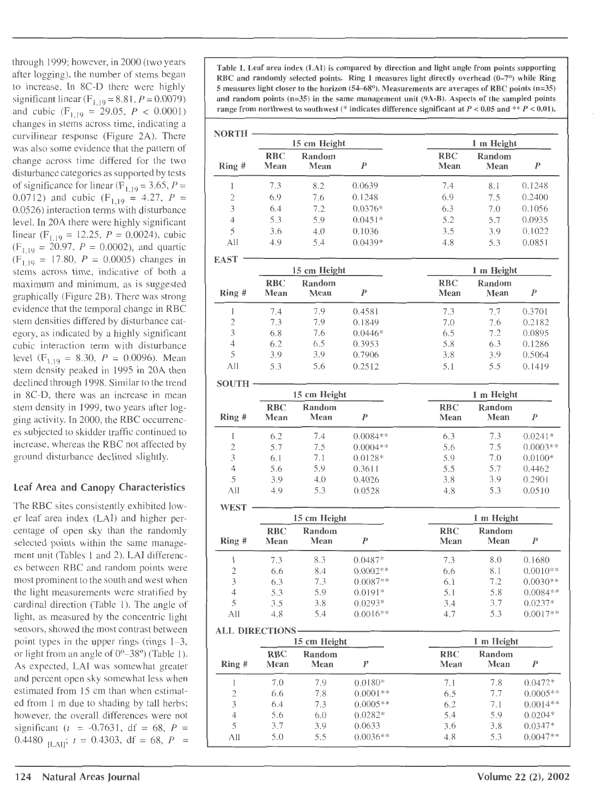and cubic  $(F_{1,19} = 29.05, P < 0.0001)$ changes in stems across time, indicating a curvilinear response (Figure 2A). There was also some evidence that the pattern of change across time differed for the two disturbance categories as supported by tests of significance for linear  $(F_1)$ 0.0712) and cubic ( $F_{1,19} = 4.27$ ,  $P =$ 0.0526) interaction terms with disturbance level. In 20A there were highly significant  $(F<sub>1, 19</sub> = 17.80, P = 0.0005)$  changes in stems across time, indicative of both a maximum and minimum, as is suggested graphically (Figure 2B). There was strong evidence that the temporal change in RBC stem densities differed by disturbance category, as indicated by a highly significant cubic interaction term with disturbance stem density peaked in 1995 in 20A then declined through 1998. Similar to the trend in 8C-D, there was an increase in mean stem density in 1999, two years after logging activity. In 2000, the RBC occurrences subjected to skidder traffic continued to increase, whereas the RBC not affected by ground disturbance declined slightly.

# Leaf Area and Canopy Characteristics

The RBC sites consistently exhibited lower leaf area index (LAI) and higher percentage of open sky than the randomly selected points within the same management unit (Tables 1 and 2). LAI differences between RBC and random points were most prominent to the south and west when the light measurements were stratified by cardinal direction (Table 1). The angle of light, as measured by the concentric light sensors, showed the most contrast between **ALL DIRECTIONS** point types in the upper rings (rings  $1-3$ , or light from an angle of  $0^{\circ}$ -38°) (Table 1). As expected, LAI was somewhat greater and percent open sky somewhat less when estimated from 15 cm than when estimated from 1 m due to shading by tall herbs; however, the overall differences were not significant ( $t = -0.7631$ , df = 68, P = 0.4480  $_{\text{ILAI}}$ ;  $t = 0.4303$ , df = 68, P =

through 1999; however, in 2000 (two years<br>after logging), the number of stems began<br>to increase. In 8C-D there were highly<br>to increase. In 8C-D there were highly<br>to increase. In 8C-D there were highly<br>to selected points ( 5 measures light closer to the horizon (54–68°). Measurements are averages of RBC points (n=35) significant linear (F<sub>1,19</sub> = 8.81, P = 0.0079) and random points (n=35) in the same management unit (9A-B). Aspects of the sampled points range from northwest to southwest (\* indicates difference significant at  $P < 0.05$  and \*\*  $P < 0.01$ ).

| changes in stems across thrie, murcating a                                              |                   |                    |                |           |                    |                |        |
|-----------------------------------------------------------------------------------------|-------------------|--------------------|----------------|-----------|--------------------|----------------|--------|
| curvilinear response (Figure 2A). There<br>was also some evidence that the pattern of   | <b>NORTH</b>      | 15 cm Height       |                |           | 1 m Height         |                |        |
| change across time differed for the two<br>disturbance categories as supported by tests | $\mathbf{Ring}$ # | <b>RBC</b><br>Mean | Random<br>Mean |           | <b>RBC</b><br>Mean | Random<br>Mean |        |
| of significance for linear ( $F_{1,19}$ = 3.65, P =                                     |                   | 7.3                | 8.2            | 0.0639    | 7.4                | 8.1            | 0.1248 |
| 0.0712) and cubic $(F_{1,19} = 4.27, P =$                                               |                   | 6.9                | 7.6            | 0.1248    | 6.9                | 7.5            | 0.2400 |
| 0.0526) interaction terms with disturbance                                              |                   | 6.4                | 7.2            | $0.0376*$ | 6.3                | 7.0            | 0.1056 |
| level. In 20A there were highly significant                                             | 4                 | 5.3                | 5.9            | $0.0451*$ | 5.2                | 5.7            | 0.0935 |
| linear (F <sub>1,19</sub> = 12.25, $P = 0.0024$ ), cubic                                |                   | 3.6                | 4.0            | 0.1036    | 3.5                | 3.9            | 0.1022 |
| $(F_{1,19} = 20.97, P = 0.0002)$ , and quartic                                          | All               | 4.9                | 5.4            | $0.0439*$ | 4.8                | 5.3            | 0.0851 |

| $(F1,19 = 17.80, P = 0.0005)$ changes in                                          | <b>EAST</b>       |                    |                |           |                    |                       |        |
|-----------------------------------------------------------------------------------|-------------------|--------------------|----------------|-----------|--------------------|-----------------------|--------|
| stems across time, indicative of both a                                           |                   | 15 cm Height       |                |           | 1 m Height         |                       |        |
| maximum and minimum, as is suggested<br>graphically (Figure 2B). There was strong | $\mathbf{Ring}$ # | <b>RBC</b><br>Mean | Random<br>Mean |           | <b>RBC</b><br>Mean | Random<br><b>Mean</b> |        |
| evidence that the temporal change in RBC                                          |                   | 7.4                | 7.9            | 0.4581    | 7.3                | 7.7                   | 0.3701 |
| stem densities differed by disturbance cat-                                       |                   | 7.3                | 7.9            | 0.1849    | 7.0                | 7.6                   | 0.2182 |
| egory, as indicated by a highly significant                                       |                   | 6.8                | 7.6            | $0.0446*$ | 6.5                | 7.2                   | 0.0895 |
| cubic interaction term with disturbance                                           | 4                 | 6.2                | 6.5            | 0.3953    | 5.8                | 6.3                   | 0.1286 |
| level $(F_{1,19} = 8.30, P = 0.0096)$ . Mean                                      |                   | 3.9                | 3.9            | 0.7906    | 3.8                | 3.9                   | 0.5064 |
| stem density peaked in 1995 in 20A then.                                          | All               | 5.3                | 5.6            | 0.2512    | 5.1                | 5.5                   | 0.1419 |

| <b>SOUTH</b> |                    |                |            |                    |                |            |
|--------------|--------------------|----------------|------------|--------------------|----------------|------------|
| 15 cm Height |                    |                |            | 1 m Height         |                |            |
| Ring#        | <b>RBC</b><br>Mean | Random<br>Mean |            | <b>RBC</b><br>Mean | Random<br>Mean |            |
|              | 6.2                | 7.4            | $0.0084**$ | 6.3                | 7.3            | $0.0241*$  |
| 2            | 5.7                | 7.5            | $0.0004**$ | 5.6                | 7.5            | $0.0003**$ |
| 3            | 6.1                | 7.1            | $0.0128*$  | 5.9                | 7.0            | $0.0100*$  |
| 4            | 5.6                | 5.9            | 0.3611     | 5.5                | 5.7            | 0.4462     |
| 5            | 3.9                | 4.0            | 0.4026     | 3.8                | 3.9            | 0.2901     |
| A 11         | 49                 | 53             | 0.0528     | 48                 | 53             | 0.0510     |

|                | 15 cm Height       |                |            | 1 m Height         |                |            |  |
|----------------|--------------------|----------------|------------|--------------------|----------------|------------|--|
| Ring#          | <b>RBC</b><br>Mean | Random<br>Mean | P          | <b>RBC</b><br>Mean | Random<br>Mean | P          |  |
|                | 7.3                | 8.3            | $0.0487*$  | 7.3                | 8.0            | 0.1680     |  |
| $\overline{2}$ | 6.6                | 8.4            | $0.0002**$ | 6.6                | 8.1            | $0.0010**$ |  |
| 3              | 6.3                | 7.3            | $0.0087**$ | 6.1                | 7.2            | $0.0030**$ |  |
| 4              | 5.3                | 5.9            | $0.0191*$  | 5.1                | 5.8            | $0.0084**$ |  |
| 5              | 3.5                | 3.8            | $0.0293*$  | 3.4                | 3.7            | $0.0237*$  |  |
| All            | 4.8                | 5.4            | $0.0016**$ | 4.7                | 5.3            | $0.0017**$ |  |

| 15 cm Height          |                    |                | 1 m Height       |                    |                |            |
|-----------------------|--------------------|----------------|------------------|--------------------|----------------|------------|
| $\mathrm{Ring}\,\,\#$ | <b>RBC</b><br>Mean | Random<br>Mean | $\boldsymbol{p}$ | <b>RBC</b><br>Mean | Random<br>Mean | P          |
|                       | 7.0                | 7.9            | $0.0180*$        | 7.1                | 7.8            | $0.0472*$  |
| 2                     | 6.6                | 7.8            | $0.0001**$       | 6.5                | 7.7            | $0.0005**$ |
| 3                     | 6.4                | 7.3            | $0.0005**$       | 6.2                | 7.1            | $0.0014**$ |
| 4                     | 5.6                | 6.0            | $0.0282*$        | 5.4                | 5.9            | $0.0204*$  |
| 5                     | 3.7                | 3.9            | 0.0633           | 3.6                | 3.8            | $0.0347*$  |
| Аll                   | 5.0                | 5.5            | $0.0036**$       | 4.8                | 5.3            | $0.0047**$ |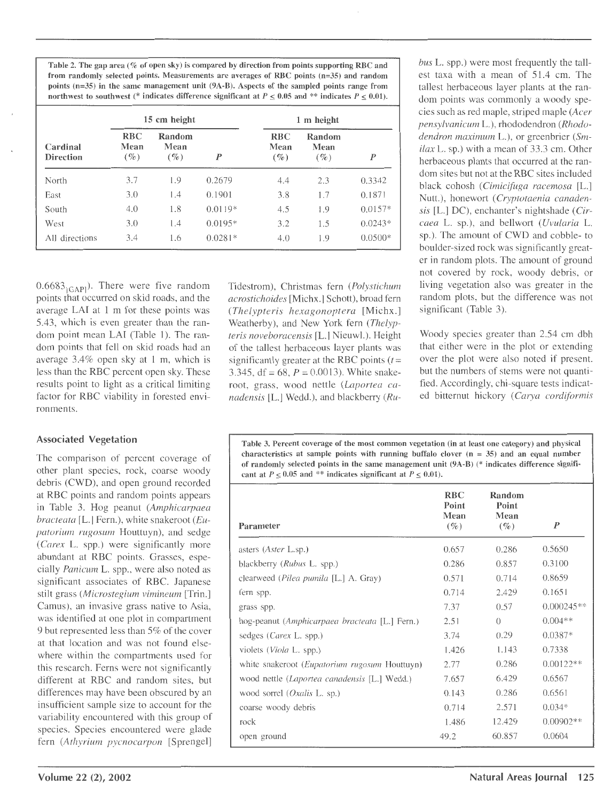Table 2. The gap area(% of open sky) is compared by direction from points supporting RBC and from randomly selected points. Measurements are averages of RBC points (n=35) and random points (n=35) in the same management unit (9A-B). Aspects of the sampled points range from northwest to southwest (\* indicates difference significant at  $P \le 0.05$  and \*\* indicates  $P \le 0.01$ ).

|                              |                              | 15 cm height             |           |                              | 1 m height               |           |  |
|------------------------------|------------------------------|--------------------------|-----------|------------------------------|--------------------------|-----------|--|
| Cardinal<br><b>Direction</b> | <b>RBC</b><br>Mean<br>$($ %) | Random<br>Mean<br>$($ %) | P         | <b>RBC</b><br>Mean<br>$($ %) | Random<br>Mean<br>$($ %) | P         |  |
| North                        | 3.7                          | 1.9                      | 0.2679    | 4.4                          | 2.3                      | 0.3342    |  |
| East                         | 3.0                          | 1.4                      | 0.1901    | 3.8                          | 1.7                      | 0.1871    |  |
| South                        | 4.0                          | 1.8                      | $0.0119*$ | 4.5                          | 1.9                      | $0.0157*$ |  |
| West                         | 3.0                          | 1.4                      | $0.0195*$ | 3.2                          | 1.5                      | $0.0243*$ |  |
| All directions               | 3.4                          | 1.6                      | $0.0281*$ | 4.0                          | 1.9                      | $0.0500*$ |  |

 $0.6683$ <sub>IGAPI</sub>). There were five random points that occurred on skid roads, and the average LAI at 1 m for these points was 5.43, which is even greater than the random point mean LAI (Table 1). The random points that fell on skid roads had an average  $3.4\%$  open sky at 1 m, which is less than the RBC percent open sky. These results point to light as a critical limiting factor for RBC viability in forested environments.

### Associated Vegetation

The comparison of percent coverage of other plant species, rock, coarse woody debris (CWD), and open ground recorded at RBC points and random points appears in Table 3. Hog peanut *(Amphicarpaea bracteata* [L.] Fern.), white snakeroot *(Eupatorium rugosum* Houttuyn), and sedge *(Carex* L. spp.) were significantly more abundant at RBC points. Grasses, especially *Panicum* L. spp., were also noted as significant associates of RBC. Japanese stilt grass *(Microstegium vimineum* [Trin.] Camus), an invasive grass native to Asia, was identified at one plot in compartment 9 but represented less than 5% of the cover at that location and was not found elsewhere within the compartments used for this research. Ferns were not significantly different at RBC and random sites, but differences may have been obscured by an insufficient sample size to account for the variability encountered with this group of species. Species encountered were glade fern *(Athyrium pycnocarpon* [Sprengel]

Tidestrom), Christmas fern *(Polystichum acrostichoides* [Michx.] Schott), broad fern *(Thelypteris hexagonoptera* [Michx.] Weatherby), and New York fern *(Thelypteris noveboracensis* [L.] Nieuwl.). Height of the tallest herbaceous layer plants was significantly greater at the RBC points  $(t =$ 3.345, df =  $68$ ,  $P = 0.0013$ ). White snakeroot, grass, wood nettle *(Laportea canadensis* [L.] Wedd.), and blackberry *(Ru-* *bus* L. spp.) were most frequently the tallest taxa with a mean of 51.4 em. The tallest herbaceous layer plants at the random points was commonly a woody species such as red maple, striped maple *(Acer pensylvanicum* L.), rhododendron *(Rhododendron maximum* L.), or greenbrier *(Smilax* L. sp.) with a mean of 33.3 em. Other herbaceous plants that occurred at the random sites but not at the RBC sites included black cohosh *(Cimicifuga racemosa* [L.] Nutt.), honewort *(Cryptotaenia canadensis* [L.] DC), enchanter's nightshade *(Circaea* L. sp.), and bellwort *(Uvularia* L. sp.). The amount of CWD and cobble- to boulder-sized rock was significantly greater in random plots. The amount of ground not covered by rock, woody debris, or living vegetation also was greater in the random plots, but the difference was not significant (Table 3).

Woody species greater than 2.54 em dbh that either were in the plot or extending over the plot were also noted if present, but the numbers of stems were not quantified. Accordingly, chi-square tests indicated bitternut hickory ( *Carya cordiformis* 

Table 3. Percent coverage of the most common vegetation (in at least one category) and physical characteristics at sample points with running buffalo clover  $(n = 35)$  and an equal number of randomly selected points in the same management unit (9A-B) (\* indicates difference significant at  $P < 0.05$  and \*\* indicates significant at  $P < 0.01$ ).

|                                                       | <b>RBC</b><br>Point | Random<br>Point |                  |
|-------------------------------------------------------|---------------------|-----------------|------------------|
| Parameter                                             | Mean<br>$(\%)$      | Mean<br>$(\%)$  | $\boldsymbol{P}$ |
| asters ( <i>Aster</i> L.sp.)                          | 0.657               | 0.286           | 0.5650           |
| blackberry (Rubus L. spp.)                            | 0.286               | 0.857           | 0.3100           |
| clearweed (Pilea pumila [L.] A. Gray)                 | 0.571               | 0.714           | 0.8659           |
| fern spp.                                             | 0.714               | 2.429           | 0.1651           |
| grass spp.                                            | 7.37                | 0.57            | $0.000245**$     |
| hog-peanut (Amphicarpaea bracteata [L.] Fern.)        | 2.51                | $\bigcap$       | $0.004**$        |
| sedges ( <i>Carex L. spp.</i> )                       | 3.74                | 0.29            | $0.0387*$        |
| violets ( <i>Viola L. spp.</i> )                      | 1.426               | 1.143           | 0.7338           |
| white snakeroot ( <i>Eupatorium rugosum</i> Houttuyn) | 2.77                | 0.286           | $0.00122**$      |
| wood nettle (Laportea canadensis [L.] Wedd.)          | 7.657               | 6.429           | 0.6567           |
| wood sorrel ( <i>Oxalis</i> L. sp.)                   | 0.143               | 0.286           | 0.6561           |
| coarse woody debris                                   | 0.714               | 2.571           | $0.034*$         |
| rock                                                  | 1.486               | 12.429          | $0.00902**$      |
| open ground                                           | 49.2                | 60.857          | 0.0604           |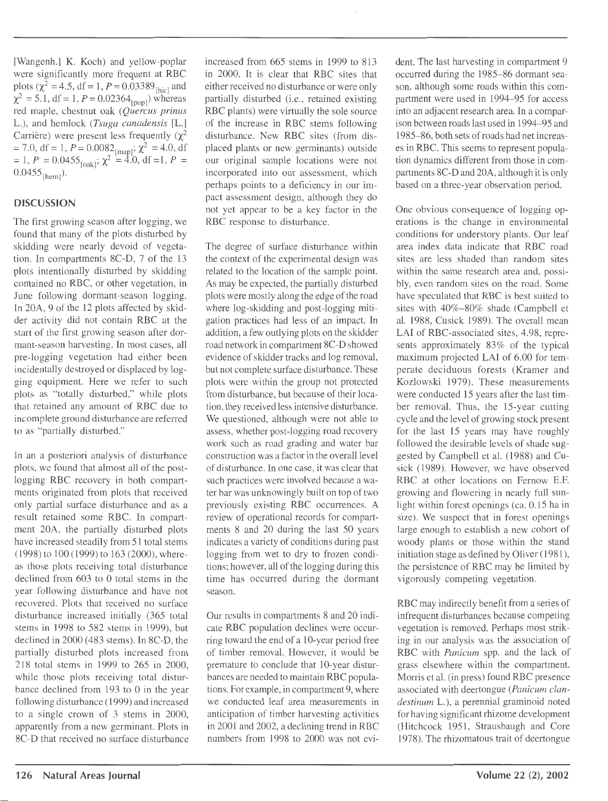[Wangenh.] K. Koch) and yellow-poplar were significantly more frequent at RBC plots ( $\chi^2 = 4.5$ , df = 1, P = 0.03389<sub>[hic]</sub> and  $\chi^2 = 5.1$ , df = 1, P = 0.02364<sub>[pop]</sub>) whereas red maple, chestnut oak *(Quercus prinus*  L.), and hemlock *(Tsuga canadensis* [L.] Carrière) were present less frequently  $(\chi^2)$  $= 7.0, df = 1, P = 0.0082_{[map]}; \chi^2 = 4.0, df$  $= 1, P = 0.0455_{\text{[oak]}}; \chi^2 = 4.0, \text{df} = 1, P =$  $0.0455$ <sub>[hem]</sub>).

### **DISCUSSION**

The first growing season after logging, we found that many of the plots disturbed by skidding were nearly devoid of vegetation. In compartments 8C-D, 7 of the 13 plots intentionally disturbed by skidding contained no RBC, or other vegetation, in June following dormant-season logging. In 20A, 9 of the 12 plots affected by skidder activity did not contain RBC at the start of the first growing season after dormant-season harvesting. In most cases, all pre-logging vegetation had either been incidentally destroyed or displaced by logging equipment. Here we refer to such plots as "totally disturbed," while plots that retained any amount of RBC due to incomplete ground disturbance are referred to as "partially disturbed."

In an a posteriori analysis of disturbance plots, we found that almost all of the postlogging RBC recovery in both compartments originated from plots that received only partial surface disturbance and as a result retained some RBC. In compartment 20A, the partially disturbed plots have increased steadily from 51 total stems (1998) to 100 (1999) to 163 (2000), whereas those plots receiving total disturbance declined from 603 to 0 total stems in the year following disturbance and have not recovered. Plots that received no surface disturbance increased initially (365 total stems in 1998 to 582 stems in 1999), but declined in 2000 (483 stems). In 8C-D, the partially disturbed plots increased from 218 total stems in 1999 to 265 in 2000, while those plots receiving total disturbance declined from 193 to 0 in the year following disturbance ( 1999) and increased to a single crown of 3 stems in 2000, apparently from a new germinant. Plots in 8C-D that received no surface disturbance increased from 665 stems in 1999 to 813 in 2000. It is clear that RBC sites that either received no disturbance or were only partially disturbed (i.e., retained existing RBC plants) were virtually the sole source of the increase in RBC stems following disturbance. New RBC sites (from displaced plants or new germinants) outside our original sample locations were not incorporated into our assessment, which perhaps points to a deficiency in our impact assessment design, although they do not yet appear to be a key factor in the RBC response to disturbance.

The degree of surface disturbance within the context of the experimental design was related to the location of the sample point. As may be expected, the partially disturbed plots were mostly along the edge of the road where log-skidding and post-logging mitigation practices had less of an impact. In addition, a few outlying plots on the skidder road network in compartment 8C-D showed evidence of skidder tracks and log removal, but not complete surface disturbance. These plots were within the group not protected from disturbance, but because of their location, they received less intensive disturbance. We questioned, although were not able to assess, whether post-logging road recovery work such as road grading and water bar construction was a factor in the overall level of disturbance. In one case, it was clear that such practices were involved because a water bar was unknowingly built on top of two previously existing RBC occurrences. A review of operational records for compartments 8 and 20 during the last 50 years indicates a variety of conditions during past logging from wet to dry to frozen conditions; however, all of the logging during this time has occurred during the dormant season.

Our results in compartments 8 and 20 indicate RBC population declines were occurring toward the end of a 10-year period free of timber removal. However, it would be premature to conclude that 10-year disturbances are needed to maintain RBC populations. For example, in compartment 9, where we conducted leaf area measurements in anticipation of timber harvesting activities in 2001 and 2002, a declining trend in RBC numbers from 1998 to 2000 was not evident. The last harvesting in compartment 9 occurred during the 1985-86 dormant season, although some roads within this compartment were used in 1994-95 for access into an adjacent research area. In a comparison between roads last used in 1994-95 and 1985-86, both sets of roads had net increases in RBC. This seems to represent population dynamics different from those in compartments 8C-D and 20A, although it is only based on a three-year observation period.

One obvious consequence of logging operations is the change in environmental conditions for understory plants. Our leaf area index data indicate that RBC road sites are less shaded than random sites within the same research area and, possibly, even random sites on the road. Some have speculated that RBC is best suited to sites with 40%-80% shade (Campbell et al. 1988, Cusick 1989). The overall mean LAI of RBC-associated sites, 4.98, represents approximately 83% of the typical maximum projected LAI of 6.00 for temperate deciduous forests (Kramer and Kozlowski 1979). These measurements were conducted 15 years after the last timber removal. Thus, the 15-year cutting cycle and the level of growing stock present for the last 15 years may have roughly followed the desirable levels of shade suggested by Campbell et al. (1988) and Cusick (1989). However, we have observed RBC at other locations on Fernow E.F. growing and flowering in nearly full sunlight within forest openings (ca. 0.15 ha in size). We suspect that in forest openings large enough to establish a new cohort of woody plants or those within the stand initiation stage as defined by Oliver (1981), the persistence of RBC may be limited by vigorously competing vegetation.

RBC may indirectly benefit from a series of infrequent disturbances because competing vegetation is removed. Perhaps most striking in our analysis was the association of RBC with *Panicum* spp. and the lack of grass elsewhere within the compartment. Morris et al. (in press) found RBC presence associated with deertongue *(Panicum clandestinum* L.), a perennial graminoid noted for having significant rhizome development (Hitchcock 1951, Strausbaugh and Core 1978). The rhizomatous trait of deertongue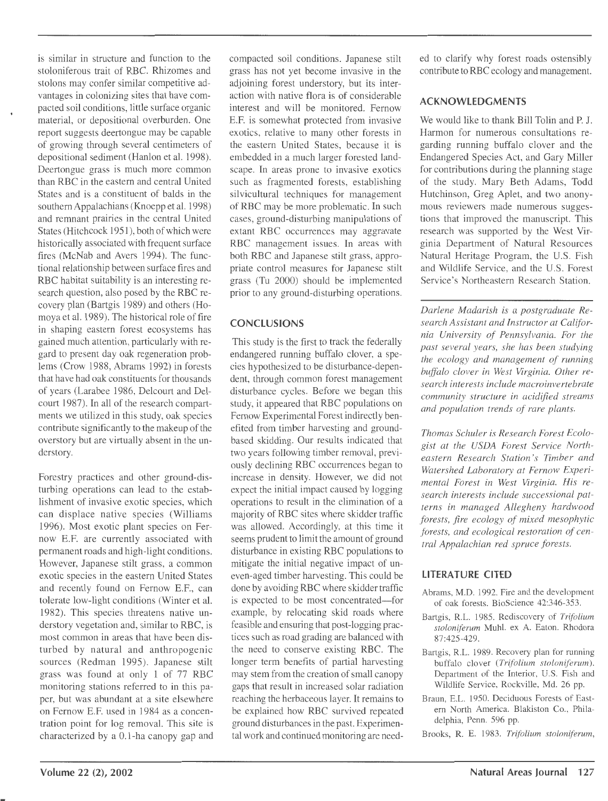is similar in structure and function to the stoloniferous trait of RBC. Rhizomes and stolons may confer similar competitive advantages in colonizing sites that have compacted soil conditions, little surface organic material, or depositional overburden. One report suggests deertongue may be capable of growing through several centimeters of depositional sediment (Hanlon et al. 1998). Deertongue grass is much more common than RBC in the eastern and central United States and is a constituent of balds in the southern Appalachians (Knoepp et al. 1998) and remnant prairies in the central United States (Hitchcock 1951), both of which were historically associated with frequent surface fires (McNab and Avers 1994). The functional relationship between surface fires and RBC habitat suitability is an interesting research question, also posed by the RBC recovery plan (Bartgis 1989) and others (Homoya et al. 1989). The historical role of fire in shaping eastern forest ecosystems has gained much attention, particularly with regard to present day oak regeneration problems (Crow 1988, Abrams 1992) in forests that have had oak constituents for thousands of years (Larabee 1986, Delcourt and Delcourt 1987). In all of the research compartments we utilized in this study, oak species contribute significantly to the makeup of the overstory but are virtually absent in the understory.

Forestry practices and other ground-disturbing operations can lead to the establishment of invasive exotic species, which can displace native species (Williams 1996). Most exotic plant species on Fernow E.F. are currently associated with permanent roads and high-light conditions. However, Japanese stilt grass, a common exotic species in the eastern United States and recently found on Fernow E.F., can tolerate low-light conditions (Winter et al. 1982). This species threatens native understory vegetation and, similar to RBC, is most common in areas that have been disturbed by natural and anthropogenic sources (Redman 1995). Japanese stilt grass was found at only 1 of 77 RBC monitoring stations referred to in this paper, but was abundant at a site elsewhere on Fernow E.F. used in 1984 as a concentration point for log removal. This site is characterized by a 0.1-ha canopy gap and compacted soil conditions. Japanese stilt grass has not yet become invasive in the adjoining forest understory, but its interaction with native flora is of considerable interest and will be monitored. Fernow E.F. is somewhat protected from invasive exotics, relative to many other forests in the eastern United States, because it is embedded in a much larger forested landscape. In areas prone to invasive exotics such as fragmented forests, establishing silvicultural techniques for management of RBC may be more problematic. In such cases, ground-disturbing manipulations of extant RBC occurrences may aggravate RBC management issues. In areas with both RBC and Japanese stilt grass, appropriate control measures for Japanese stilt grass (Tu 2000) should be implemented prior to any ground-disturbing operations.

# **CONCLUSIONS**

This study is the first to track the federally endangered running buffalo clover, a species hypothesized to be disturbance-dependent, through common forest management disturbance cycles. Before we began this study, it appeared that RBC populations on Fernow Experimental Forest indirectly benefited from timber harvesting and groundbased skidding. Our results indicated that two years following timber removal, previously declining RBC occurrences began to increase in density. However, we did not expect the initial impact caused by logging operations to result in the elimination of a majority of RBC sites where skidder traffic was allowed. Accordingly, at this time it seems prudent to limit the amount of ground disturbance in existing RBC populations to mitigate the initial negative impact of uneven-aged timber harvesting. This could be done by avoiding RBC where skidder traffic is expected to be most concentrated-for example, by relocating skid roads where feasible and ensuring that post-logging practices such as road grading are balanced with the need to conserve existing RBC. The longer term benefits of partial harvesting may stem from the creation of small canopy gaps that result in increased solar radiation reaching the herbaceous layer. It remains to be explained how RBC survived repeated ground disturbances in the past. Experimental work and continued monitoring are needed to clarify why forest roads ostensibly contribute to RBC ecology and management.

## **ACKNOWLEDGMENTS**

We would like to thank Bill Tolin and P. J. Harmon for numerous consultations regarding running buffalo clover and the Endangered Species Act, and Gary Miller for contributions during the planning stage of the study. Mary Beth Adams, Todd Hutchinson, Greg Aplet, and two anonymous reviewers made numerous suggestions that improved the manuscript. This research was supported by the West Virginia Department of Natural Resources Natural Heritage Program, the U.S. Fish and Wildlife Service, and the U.S. Forest Service's Northeastern Research Station.

*Darlene Madarish is a postgraduate Research Assistant and Instructor at California University of Pennsylvania. For the past several years, she has been studying the ecology and management of running buffalo clover in West Virginia. Other research interests include macroinvertebrate community structure in acidified streams and population trends of rare plants.* 

*Thomas Schuler is Research Forest Ecologist at the USDA Forest Service Northeastern Research Station 's Timber and Watershed Laboratory at Fernow Experimental Forest in West Virginia. His research interests include successional patterns in managed Allegheny hardwood forests, fire ecology of mixed mesophytic forests, and ecological restoration of central Appalachian red spruce forests.* 

### **LITERATURE CITED**

- Abrams, M.D. 1992. Fire and the development of oak forests. BioScience 42:346-353.
- Bartgis, R.L. 1985. Rediscovery of *Trifolium stoloniferum* Muhl. ex A. Eaton. Rhodora 87:425-429.
- Bartgis, R.L. 1989. Recovery plan for running buffalo clover *(Trifolium stoloniferum).*  Department of the Interior, U.S. Fish and Wildlife Service, Rockville, Md. 26 pp.
- Braun, E.L. 1950. Deciduous Forests of Eastern North America. Blakiston Co., Philadelphia, Penn. 596 pp.
- Brooks, R. E. 1983. *Trifolium stoloniferum,*